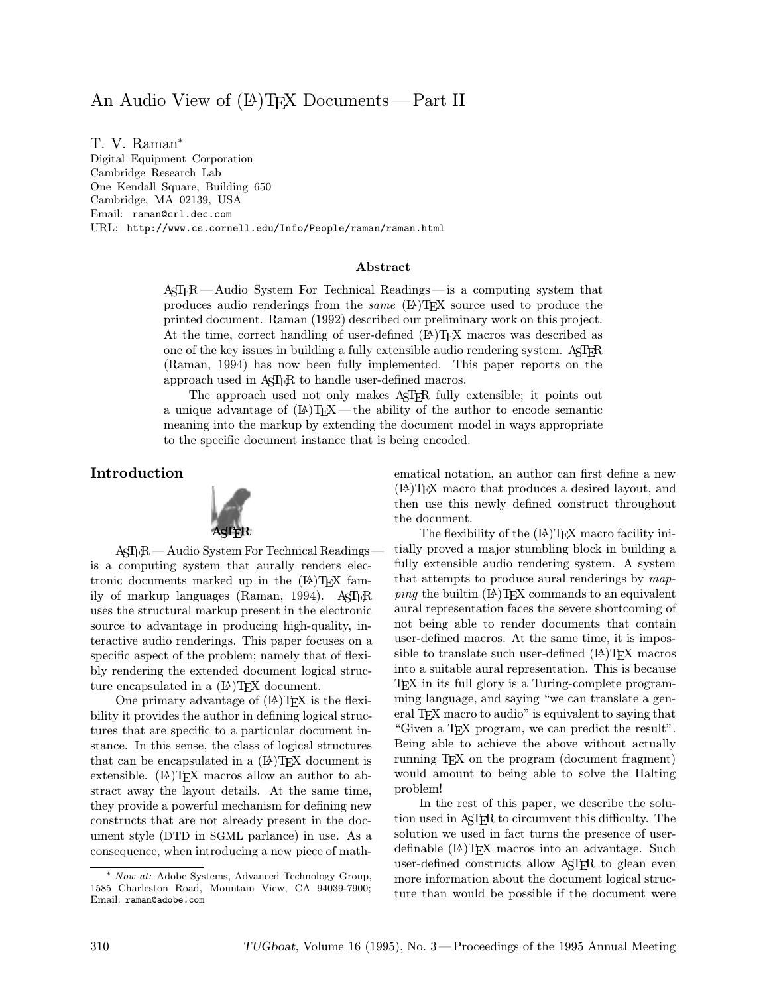# An Audio View of  $(\mathbb{A})$ TEX Documents — Part II

T. V. Raman<sup>∗</sup> Digital Equipment Corporation

Cambridge Research Lab One Kendall Square, Building 650 Cambridge, MA 02139, USA Email: raman@crl.dec.com URL: http://www.cs.cornell.edu/Info/People/raman/raman.html

#### Abstract

ASTER—Audio System For Technical Readings—is a computing system that produces audio renderings from the *same*  $(L)$ T<sub>E</sub>X source used to produce the printed document. Raman (1992) described our preliminary work on this project. At the time, correct handling of user-defined  $(E)$  T<sub>EX</sub> macros was described as one of the key issues in building a fully extensible audio rendering system.  $A\leq TFR$ (Raman, 1994) has now been fully implemented. This paper reports on the approach used in AST<sub>F</sub>R to handle user-defined macros.

The approach used not only makes ASTER fully extensible; it points out a unique advantage of  $(E)$ T<sub>EX</sub> — the ability of the author to encode semantic meaning into the markup by extending the document model in ways appropriate to the specific document instance that is being encoded.

Introduction



ASTER—Audio System For Technical Readings is a computing system that aurally renders electronic documents marked up in the  $(E)$ T<sub>E</sub>X family of markup languages (Raman, 1994). AST<sub>F</sub>R uses the structural markup present in the electronic source to advantage in producing high-quality, interactive audio renderings. This paper focuses on a specific aspect of the problem; namely that of flexibly rendering the extended document logical structure encapsulated in a  $(E)$ T<sub>F</sub>X document.

One primary advantage of  $(\mathbb{A})$ T<sub>F</sub>X is the flexibility it provides the author in defining logical structures that are specific to a particular document instance. In this sense, the class of logical structures that can be encapsulated in a  $(E)$ T<sub>F</sub>X document is extensible.  $(L)$ T<sub>F</sub>X macros allow an author to abstract away the layout details. At the same time, they provide a powerful mechanism for defining new constructs that are not already present in the document style (DTD in SGML parlance) in use. As a consequence, when introducing a new piece of math-

<sup>∗</sup> Now at: Adobe Systems, Advanced Technology Group, 1585 Charleston Road, Mountain View, CA 94039-7900; Email: raman@adobe.com

ematical notation, an author can first define a new (LA)TEX macro that produces a desired layout, and then use this newly defined construct throughout the document.

The flexibility of the  $(E)$ TEX macro facility initially proved a major stumbling block in building a fully extensible audio rendering system. A system that attempts to produce aural renderings by map $ping$  the builtin  $(B)$ TEX commands to an equivalent aural representation faces the severe shortcoming of not being able to render documents that contain user-defined macros. At the same time, it is impossible to translate such user-defined  $(E)$ TEX macros into a suitable aural representation. This is because TEX in its full glory is a Turing-complete programming language, and saying "we can translate a general T<sub>EX</sub> macro to audio" is equivalent to saying that "Given a TEX program, we can predict the result". Being able to achieve the above without actually running TEX on the program (document fragment) would amount to being able to solve the Halting problem!

In the rest of this paper, we describe the solution used in ASTER to circumvent this difficulty. The solution we used in fact turns the presence of userdefinable (LA)TEX macros into an advantage. Such user-defined constructs allow AST<sub>F</sub>R to glean even more information about the document logical structure than would be possible if the document were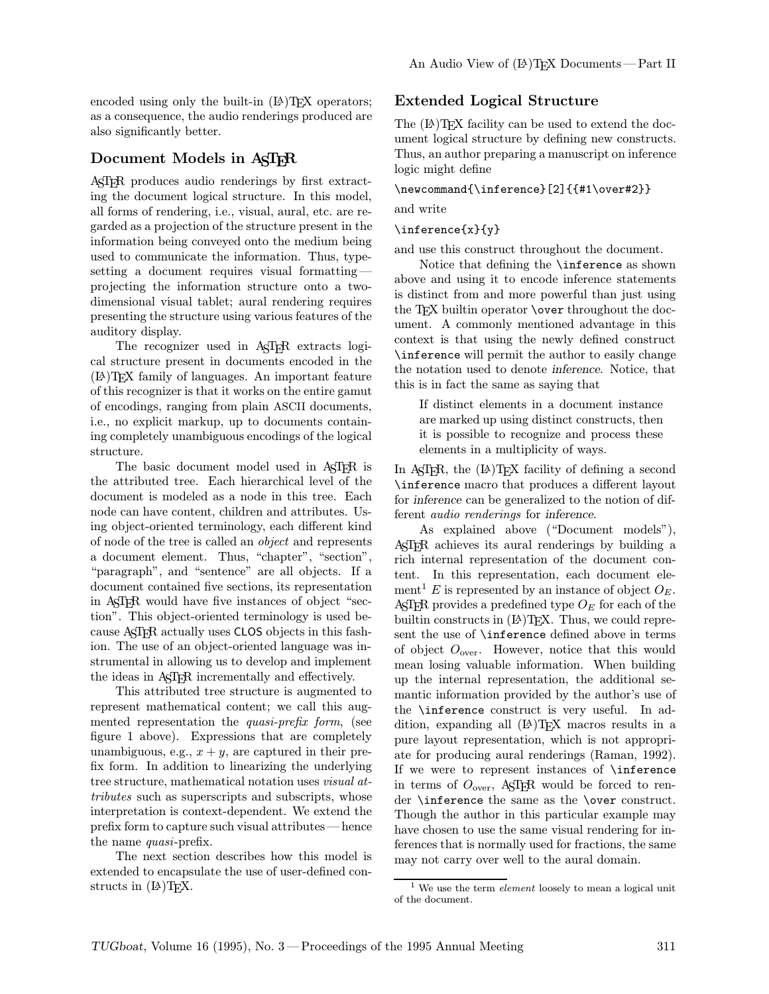encoded using only the built-in  $(A)$ T<sub>F</sub>X operators; as a consequence, the audio renderings produced are also significantly better.

### Document Models in AST<sub>FR</sub>

ASTER produces audio renderings by first extracting the document logical structure. In this model, all forms of rendering, i.e., visual, aural, etc. are regarded as a projection of the structure present in the information being conveyed onto the medium being used to communicate the information. Thus, typesetting a document requires visual formatting projecting the information structure onto a twodimensional visual tablet; aural rendering requires presenting the structure using various features of the auditory display.

The recognizer used in AST<sub>FR</sub> extracts logical structure present in documents encoded in the (LA)TEX family of languages. An important feature of this recognizer is that it works on the entire gamut of encodings, ranging from plain ASCII documents, i.e., no explicit markup, up to documents containing completely unambiguous encodings of the logical structure.

The basic document model used in AST<sub>ER</sub> is the attributed tree. Each hierarchical level of the document is modeled as a node in this tree. Each node can have content, children and attributes. Using object-oriented terminology, each different kind of node of the tree is called an object and represents a document element. Thus, "chapter", "section", "paragraph", and "sentence" are all objects. If a document contained five sections, its representation in ASTER would have five instances of object "section". This object-oriented terminology is used because ASTER actually uses CLOS objects in this fashion. The use of an object-oriented language was instrumental in allowing us to develop and implement the ideas in ASTER incrementally and effectively.

This attributed tree structure is augmented to represent mathematical content; we call this augmented representation the *quasi-prefix form*, (see figure 1 above). Expressions that are completely unambiguous, e.g.,  $x + y$ , are captured in their prefix form. In addition to linearizing the underlying tree structure, mathematical notation uses visual attributes such as superscripts and subscripts, whose interpretation is context-dependent. We extend the prefix form to capture such visual attributes —hence the name quasi-prefix.

The next section describes how this model is extended to encapsulate the use of user-defined constructs in  $(L)$ <sup>T</sup>FX.

## Extended Logical Structure

The  $(E)$ TEX facility can be used to extend the document logical structure by defining new constructs. Thus, an author preparing a manuscript on inference logic might define

#### \newcommand{\inference}[2]{{#1\over#2}}

and write

#### \inference{x}{y}

and use this construct throughout the document.

Notice that defining the \inference as shown above and using it to encode inference statements is distinct from and more powerful than just using the TEX builtin operator **\over** throughout the document. A commonly mentioned advantage in this context is that using the newly defined construct \inference will permit the author to easily change the notation used to denote inference. Notice, that this is in fact the same as saying that

If distinct elements in a document instance are marked up using distinct constructs, then it is possible to recognize and process these elements in a multiplicity of ways.

In ASTER, the  $(E)$ TEX facility of defining a second \inference macro that produces a different layout for inference can be generalized to the notion of different audio renderings for inference.

As explained above ("Document models"), ASTER achieves its aural renderings by building a rich internal representation of the document content. In this representation, each document element<sup>1</sup> E is represented by an instance of object  $O_E$ . ASTER provides a predefined type  $O_E$  for each of the builtin constructs in  $(\mathbb{A})$ TEX. Thus, we could represent the use of \inference defined above in terms of object  $O_{\text{over}}$ . However, notice that this would mean losing valuable information. When building up the internal representation, the additional semantic information provided by the author's use of the \inference construct is very useful. In addition, expanding all  $(E)$ T<sub>E</sub>X macros results in a pure layout representation, which is not appropriate for producing aural renderings (Raman, 1992). If we were to represent instances of \inference in terms of  $O_{over}$ , ASTER would be forced to render \inference the same as the \over construct. Though the author in this particular example may have chosen to use the same visual rendering for inferences that is normally used for fractions, the same may not carry over well to the aural domain.

<sup>&</sup>lt;sup>1</sup> We use the term *element* loosely to mean a logical unit of the document.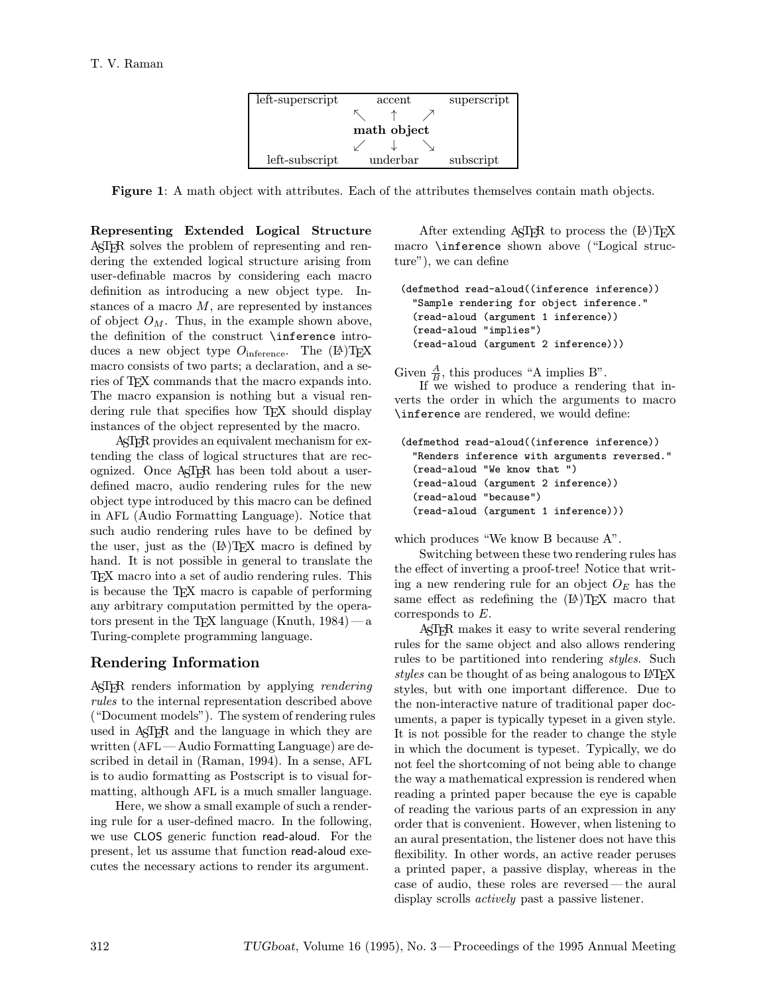

Figure 1: A math object with attributes. Each of the attributes themselves contain math objects.

Representing Extended Logical Structure ASTER solves the problem of representing and rendering the extended logical structure arising from user-definable macros by considering each macro definition as introducing a new object type. Instances of a macro  $M$ , are represented by instances of object  $O_M$ . Thus, in the example shown above, the definition of the construct \inference introduces a new object type  $O_{\text{inference}}$ . The  $(A)$ TEX macro consists of two parts; a declaration, and a series of T<sub>F</sub>X commands that the macro expands into. The macro expansion is nothing but a visual rendering rule that specifies how TEX should display instances of the object represented by the macro.

ASTER provides an equivalent mechanism for extending the class of logical structures that are recognized. Once ASTER has been told about a userdefined macro, audio rendering rules for the new object type introduced by this macro can be defined in AFL (Audio Formatting Language). Notice that such audio rendering rules have to be defined by the user, just as the  $(E)$ T<sub>F</sub>X macro is defined by hand. It is not possible in general to translate the TEX macro into a set of audio rendering rules. This is because the T<sub>EX</sub> macro is capable of performing any arbitrary computation permitted by the operators present in the TEX language (Knuth,  $1984$ ) — a Turing-complete programming language.

# Rendering Information

ASTER renders information by applying rendering rules to the internal representation described above ("Document models"). The system of rendering rules used in AST<sub>F</sub>R and the language in which they are written (AFL—Audio Formatting Language) are described in detail in (Raman, 1994). In a sense, AFL is to audio formatting as Postscript is to visual formatting, although AFL is a much smaller language.

Here, we show a small example of such a rendering rule for a user-defined macro. In the following, we use CLOS generic function read-aloud. For the present, let us assume that function read-aloud executes the necessary actions to render its argument.

After extending  $A\subset \Gamma$  and to process the  $(A)\Gamma$ <sub>F</sub>X macro \inference shown above ("Logical structure"), we can define

```
(defmethod read-aloud((inference inference))
"Sample rendering for object inference."
(read-aloud (argument 1 inference))
(read-aloud "implies")
(read-aloud (argument 2 inference)))
```
Given  $\frac{A}{B}$ , this produces "A implies B".

If we wished to produce a rendering that inverts the order in which the arguments to macro \inference are rendered, we would define:

```
(defmethod read-aloud((inference inference))
"Renders inference with arguments reversed."
(read-aloud "We know that ")
(read-aloud (argument 2 inference))
(read-aloud "because")
(read-aloud (argument 1 inference)))
```
which produces "We know B because A".

Switching between these two rendering rules has the effect of inverting a proof-tree! Notice that writing a new rendering rule for an object  $O_E$  has the same effect as redefining the  $(E)$ T<sub>F</sub>X macro that corresponds to E.

ASTER makes it easy to write several rendering rules for the same object and also allows rendering rules to be partitioned into rendering *styles*. Such styles can be thought of as being analogous to  $\angle$ FIFX styles, but with one important difference. Due to the non-interactive nature of traditional paper documents, a paper is typically typeset in a given style. It is not possible for the reader to change the style in which the document is typeset. Typically, we do not feel the shortcoming of not being able to change the way a mathematical expression is rendered when reading a printed paper because the eye is capable of reading the various parts of an expression in any order that is convenient. However, when listening to an aural presentation, the listener does not have this flexibility. In other words, an active reader peruses a printed paper, a passive display, whereas in the case of audio, these roles are reversed—the aural display scrolls *actively* past a passive listener.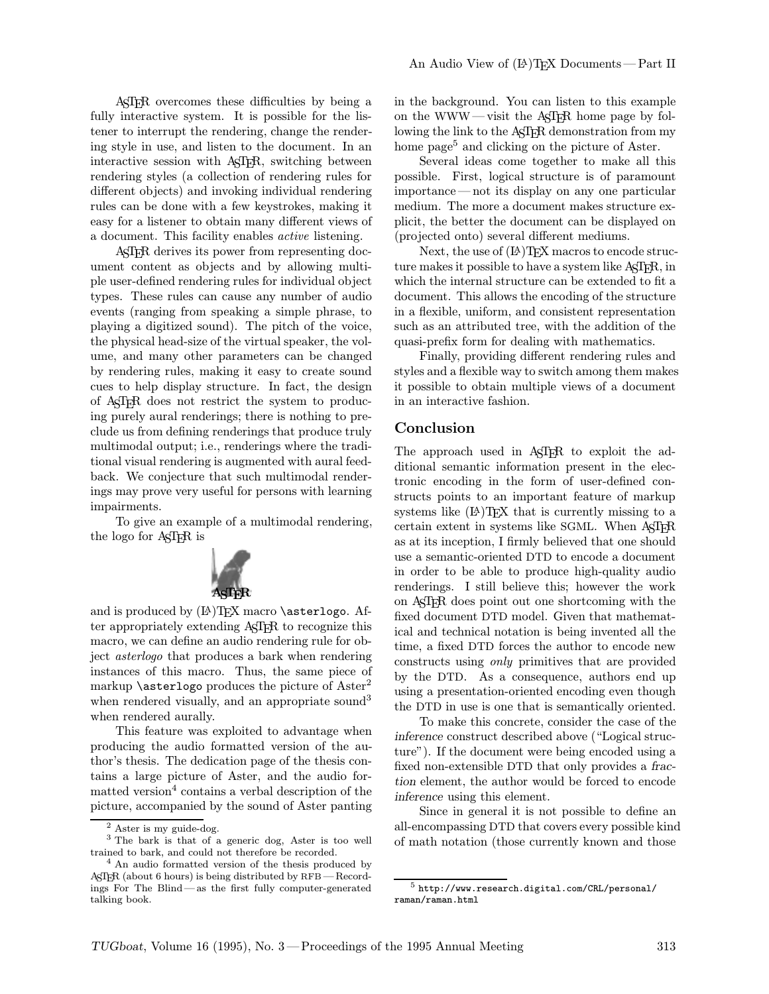ASTER overcomes these difficulties by being a fully interactive system. It is possible for the listener to interrupt the rendering, change the rendering style in use, and listen to the document. In an interactive session with ASTER, switching between rendering styles (a collection of rendering rules for different objects) and invoking individual rendering rules can be done with a few keystrokes, making it easy for a listener to obtain many different views of a document. This facility enables active listening.

ASTER derives its power from representing document content as objects and by allowing multiple user-defined rendering rules for individual object types. These rules can cause any number of audio events (ranging from speaking a simple phrase, to playing a digitized sound). The pitch of the voice, the physical head-size of the virtual speaker, the volume, and many other parameters can be changed by rendering rules, making it easy to create sound cues to help display structure. In fact, the design of ASTER does not restrict the system to producing purely aural renderings; there is nothing to preclude us from defining renderings that produce truly multimodal output; i.e., renderings where the traditional visual rendering is augmented with aural feedback. We conjecture that such multimodal renderings may prove very useful for persons with learning impairments.

To give an example of a multimodal rendering, the logo for AST<sub>FR</sub> is



and is produced by  $(\mathbb{A})$ TEX macro \asterlogo. After appropriately extending ASTER to recognize this macro, we can define an audio rendering rule for object asterlogo that produces a bark when rendering instances of this macro. Thus, the same piece of markup  $\setminus$  asterlogo produces the picture of Aster<sup>2</sup> when rendered visually, and an appropriate sound<sup>3</sup> when rendered aurally.

This feature was exploited to advantage when producing the audio formatted version of the author's thesis. The dedication page of the thesis contains a large picture of Aster, and the audio formatted version<sup>4</sup> contains a verbal description of the picture, accompanied by the sound of Aster panting in the background. You can listen to this example on the WWW—visit the ASTER home page by following the link to the AST<sub>F</sub>R demonstration from my home page<sup>5</sup> and clicking on the picture of Aster.

Several ideas come together to make all this possible. First, logical structure is of paramount importance —not its display on any one particular medium. The more a document makes structure explicit, the better the document can be displayed on (projected onto) several different mediums.

Next, the use of  $(A)$ T<sub>F</sub>X macros to encode structure makes it possible to have a system like AST<sub>FR</sub>, in which the internal structure can be extended to fit a document. This allows the encoding of the structure in a flexible, uniform, and consistent representation such as an attributed tree, with the addition of the quasi-prefix form for dealing with mathematics.

Finally, providing different rendering rules and styles and a flexible way to switch among them makes it possible to obtain multiple views of a document in an interactive fashion.

### Conclusion

The approach used in ASTER to exploit the additional semantic information present in the electronic encoding in the form of user-defined constructs points to an important feature of markup systems like  $(E)$ TEX that is currently missing to a certain extent in systems like SGML. When ASTER as at its inception, I firmly believed that one should use a semantic-oriented DTD to encode a document in order to be able to produce high-quality audio renderings. I still believe this; however the work on ASTER does point out one shortcoming with the fixed document DTD model. Given that mathematical and technical notation is being invented all the time, a fixed DTD forces the author to encode new constructs using only primitives that are provided by the DTD. As a consequence, authors end up using a presentation-oriented encoding even though the DTD in use is one that is semantically oriented.

To make this concrete, consider the case of the inference construct described above ("Logical structure"). If the document were being encoded using a fixed non-extensible DTD that only provides a fraction element, the author would be forced to encode inference using this element.

Since in general it is not possible to define an all-encompassing DTD that covers every possible kind of math notation (those currently known and those

Aster is my guide-dog.

<sup>3</sup> The bark is that of a generic dog, Aster is too well trained to bark, and could not therefore be recorded.

<sup>4</sup> An audio formatted version of the thesis produced by ASTER (about 6 hours) is being distributed by RFB — Recordings For The Blind— as the first fully computer-generated talking book.

 $5$  http://www.research.digital.com/CRL/personal/ raman/raman.html